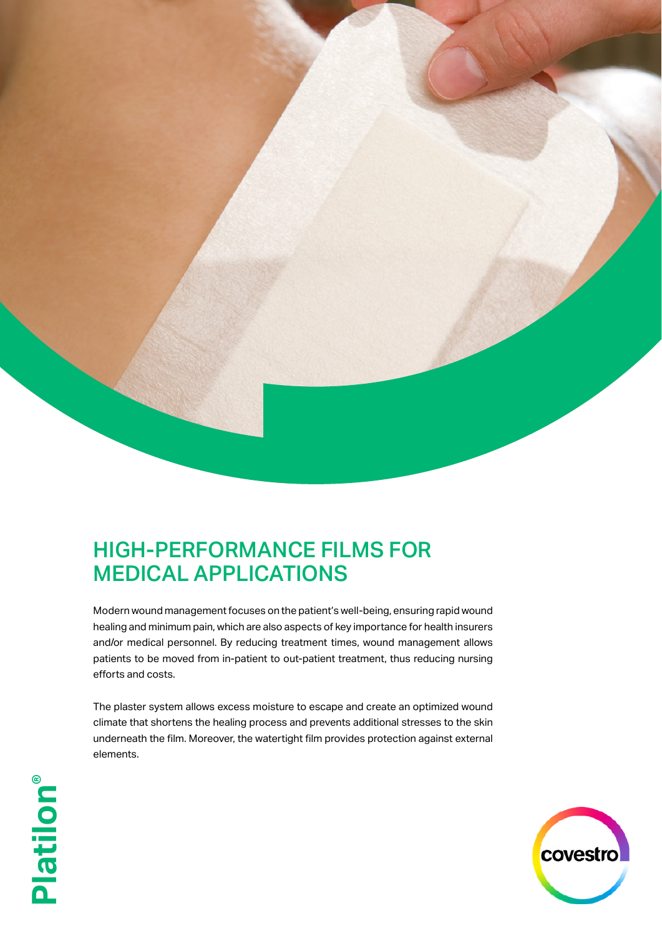

## HIGH-PERFORMANCE FILMS FOR MEDICAL APPLICATIONS

Modern wound management focuses on the patient's well-being, ensuring rapid wound healing and minimum pain, which are also aspects of key importance for health insurers and/or medical personnel. By reducing treatment times, wound management allows patients to be moved from in-patient to out-patient treatment, thus reducing nursing efforts and costs.

The plaster system allows excess moisture to escape and create an optimized wound climate that shortens the healing process and prevents additional stresses to the skin underneath the film. Moreover, the watertight film provides protection against external elements.